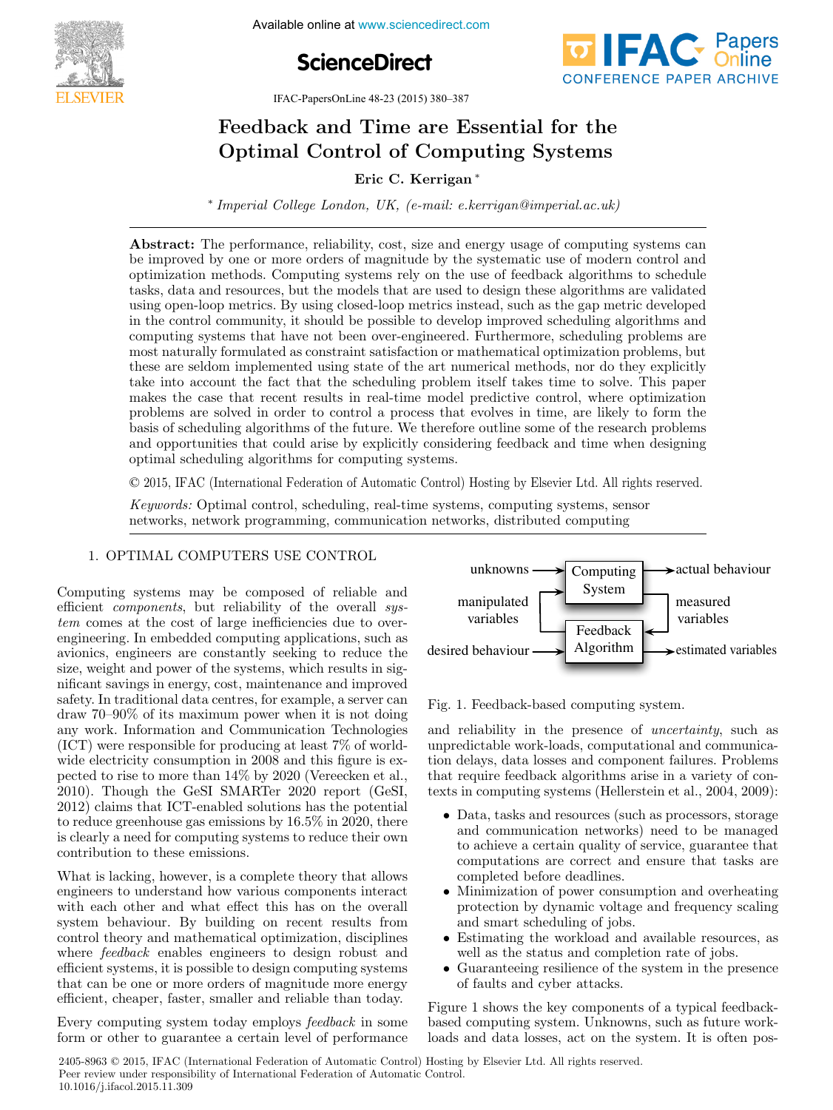**Prepared Available online at www.sciencedirect.com Preprints, 5th IFAC Conference on Nonlinear Model Predictive**





IFAC-PapersOnLine 48-23 (2015) 380–387

#### Feedback and Time are Essential for the Optimal Control of Computing Systems  $F = \frac{1}{1}$  $\Gamma$  control of  $\Gamma$  control of  $\Gamma$  control of  $\Gamma$  control of  $\Gamma$  control of  $\Gamma$  control of  $\Gamma$  control of  $\Gamma$  control of  $\Gamma$  control of  $\Gamma$  control of  $\Gamma$  control of  $\Gamma$  control of  $\Gamma$  control of  $\Gamma$  control Feedback and Time are Essential for the Feedback and Time are Essential for the Optimal Control of Computing Systems Optimal Control of Computing Systems

Eric C. Kerrigan ∗ Eric C. Kerrigan ∗ Eric C. Kerrigan ∗ Eric C. Kerrigan ∗

 $\cdot$  Imperial College London, UK, (e.k.errigan $\cdot$ ∗ Imperial College London, UK, (e-mail: e.kerrigan@imperial.ac.uk) ∗ Imperial College London, UK, (e-mail: e.kerrigan@imperial.ac.uk)  $\sim$  Imperial College London, UK, (e.k.errigan@imperial.ac.uk)

Abstract: The performance, renability, cost, size and energy usage of computing systems can<br>be improved by one or more orders of magnitude by the systematic use of modern control and be improved by one or more orders of magnitude by the systematic use of modern control and<br>optimization methods. Computing systems rely on the use of feedback algorithms to schedule optimization methods. Computing systems fely on the use of reedback algorithms to schedule<br>tasks, data and resources, but the models that are used to design these algorithms are validated asks, data and resources, but the models that are used to design these algorithms are vandated<br>using open-loop metrics. By using closed-loop metrics instead, such as the gap metric developed in the control community, it should be possible to develop improved scheduling algorithms and in the control community, it should be possible to develop improved scheduling algorithms and<br>computing systems that have not been over-engineered. Furthermore, scheduling problems are computing systems that have not been over-engineered. Furthermore, scheduling problems are<br>most naturally formulated as constraint satisfaction or mathematical optimization problems, but these are seldom implemented using state of the art numerical methods, nor do they explicitly take into account the fact that the scheduling problem itself takes time to solve. This paper take mo account the fact that the scheduling problem itself takes time to solve. This paper<br>makes the case that recent results in real-time model predictive control, where optimization makes the case that recent results in rear-time model predictive control, where optimization<br>problems are solved in order to control a process that evolves in time, are likely to form the problems are solved in order to control a process that evolves in time, are likely to form the<br>basis of scheduling algorithms of the future. We therefore outline some of the research problems and opportunities that could arise by explicitly considering feedback and time when designing optimal scheduling algorithms for computing systems. Abstract: The performance, reliability, cost, size and energy usage of computing systems can using open-loop metrics. By using closed-loop metrics instead, such as the gap metric developed<br>in the control community, it should be possible to develop improved scheduling algorithms and<br>computing systems that have not using open-loop metrics. By using closed-loop metrics instead, such as the gap metric developed  $\alpha$  is of scheduling algorithms of the future. We therefore outline some of the research problems of  $\alpha$  is  $\alpha$  in  $\alpha$ 

© 2015, IFAC (International Federation of Automatic Control) Hosting by Elsevier Ltd. All rights reserved.  $\overline{a}$  3015 IEAC (International Extension of Automatic Computing systems)

Keywords: Optimal control, scheduling, real-time systems, computing systems, sensor networks, network programming, communication networks, distributed computing Keywords: Optimal control, scheduling, real-time systems, computing systems, sensor Keywords: Optimal control, scheduling, real-time systems, computing systems, sensor

#### 1. OPTIMAL COMPUTERS USE CONTROL 1. OPTIMAL COMPUTERS USE CONTROL 1. OPTIMAL COMPUTERS USE CONTROL 1. OPTIMAL COMPUTERS USE CONTROL

Computing systems may be composed of reliable and efficient *components*, but reliability of the overall system comes at the cost of large inefficiencies due to overend comes are constantly seeking applications, such as engineering. In embedded computing applications, such as engineering. In embedded computing applications, such as<br>avionics, engineers are constantly seeking to reduce the size, weight and power of the systems, which results in sigsafety, weight and power or energy, cost, maintenance and improved mixed barm go in energy, essel, manneradies and improved safety. In traditional data centres, for example, a server can nificant savings in energy, cost, maintenance and improved<br>safety. In traditional data centres, for example, a server can<br>draw 70–90% of its maximum power when it is not doing any work. Information and Communication Technologies (ICT) were responsible for producing at least 7% of worldwide electricity consumption in 2008 and this figure is expected to rise to more than 14% by 2020 (Vereecken et al., 2010). Though the GeSI SMARTer 2020 report (GeSI, 2012) claims that ICT-enabled solutions has the potential to reduce greenhouse gas emissions by  $16.5\%$  in 2020, there is clearly a need for computing systems to reduce their own contribution to these emissions. contribution to these emissions. contribution to these emissions. Computing systems may be composed of reliable and Computing systems may be composed of reliable and

What is lacking, however, is a complete theory that allows what is taching, nowever, is a compress interact engineers to understand how various components interact eigneers to understand now rarrows components interacted with each other and what effect this has on the overall system behaviour. By building on recent results from control theory and mathematical optimization, disciplines where *feedback* enables engineers to design robust and efficient systems, it is possible to design computing systems that can be one or more orders of magnitude more energy efficient, cheaper, faster, smaller and reliable than today. efficient, cheaper, faster, smaller and reliable than today. efficient, cheaper, faster, smaller and reliable than today. What is lacking, however, is a complete theory that allows What is lacking, however, is a complete theory that allows

Every computing system today employs feedback in some Every computing system today employs *feedback* in some<br>form or other to guarantee a certain level of performance Every computing system today employs feedback in some Every computing system today employs  $feedback$  in some



Fig. 1. Feedback-based computing system.  $\mathbf{F}$  1. Februari 1. Februari 2. Feedback-based computing system. Fig. 1. Feedback-based computing system. Fig. 1. Feedback-based computing system.

and reliability in the presence of uncertainty, such as unpredictable work-loads, computational and communication delays, data losses and component failures. Problems that require feedback algorithms arise in a variety of contexts in computing systems (Hellerstein et al., 2004, 2009): texts in computing systems (Hellerstein et al., 2004, 2009): texts in computing systems (Hellerstein et al., 2004, 2009): and reliability in the presence of uncertainty in the presence of uncertainty, such as  $\alpha$ and reliability in the presence of *uncertainty*, such as

- Data, tasks and resources (such as processors, storage E and communication networks) need to be managed to achieve a certain quality of service, guarantee that computations are correct and ensure that tasks are completed before deadlines. completed before deadlines. completed before deadlines. • Data, tasks and resources (such as processors, storage and communication networks) need to be managed • Data, tasks and resources (such as processors, storage • Data, tasks and resources (such as processors, storage
- Minimization of power consumption and overheating • Minimization of power consumption and overheating<br>protection by dynamic voltage and frequency scaling and smart scheduling of jobs. and smart scheduling of jobs. and smart scheduling of jobs. • Minimization of power consumption and overheating<br>• Minimization of power consumption and overheating
- Estimating the workload and available resources, as well as the status and completion rate of jobs. well as the status and completion rate of jobs. well as the status and completion rate of jobs. • Estimating the workload and available resources, as<br>• Estimating the workload and available resources, as<br>well as the status and completion rate of jobs.
- Guaranteeing resilience of the system in the presence of faults and cyber attacks. of faults and cyber attacks. of faults and cyber attacks. • Guaranteeing resilience of the system in the presence<br>• Guaranteeing resilience of the system in the presence<br>of faults and orban stracks.

Figure 1 shows the key components of a typical feedbackbased computing system. Unknowns, such as future work-loads and data losses, act on the system. It is often pos-based computing system. Unknowns, such as future work-based computing system. Unknowns, such as future workloads and data losses, act on the system. It is often pos-loads and data losses, act on the system. It is often pos-loads and data losses, act on the system. It is often pos- $\mathbf{F}_{\mathbf{r}}$  shows the key components of a typical feedback-feedback-feedback-feedback-feedback-feedback-feedback-feedback-feedback-feedback-feedback-feedback-feedback-feedback-feedback-feedback-feedback-feedback-feedba Figure 1 shows the key components of a typical feedback-

2405-8963 © 2015, IFAC (International Federation of Automatic Control) Hosting by Elsevier Ltd. All rights reserved. **Peer review under responsibility of International Federation of Automatic Control.** 10.1016/j.ifacol.2015.11.309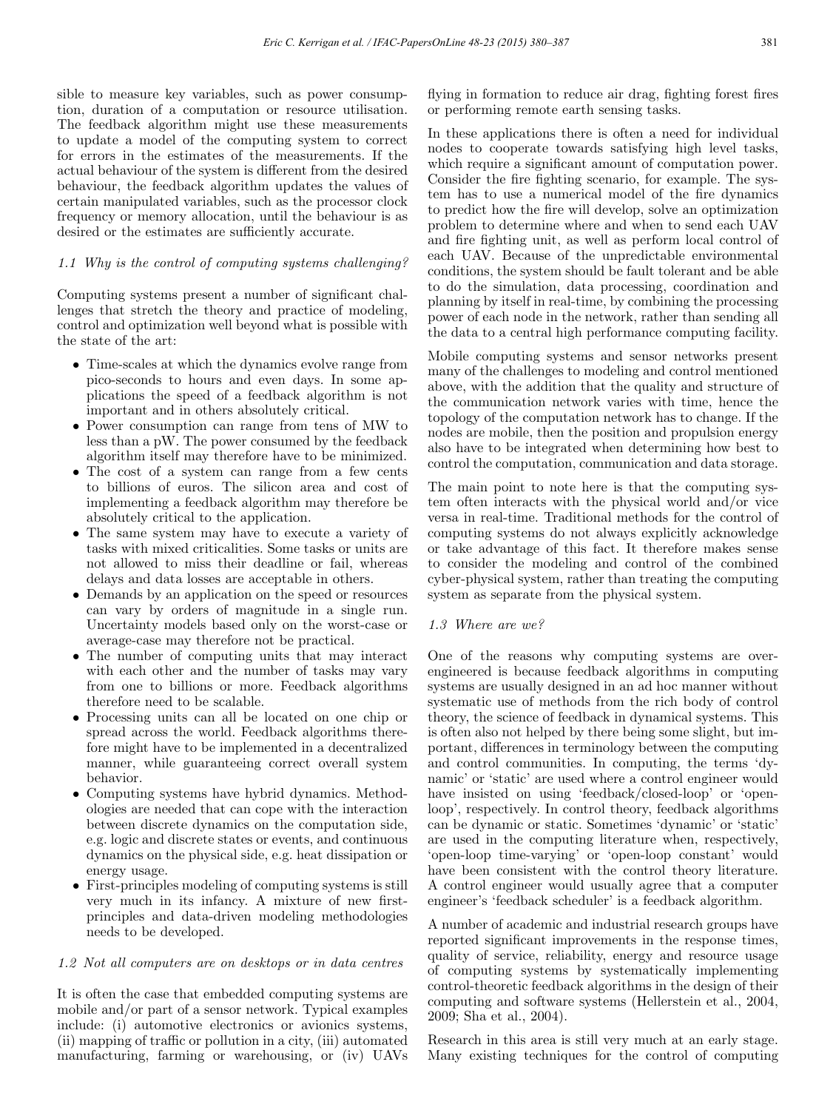sible to measure key variables, such as power consumption, duration of a computation or resource utilisation. The feedback algorithm might use these measurements to update a model of the computing system to correct for errors in the estimates of the measurements. If the actual behaviour of the system is different from the desired behaviour, the feedback algorithm updates the values of certain manipulated variables, such as the processor clock frequency or memory allocation, until the behaviour is as desired or the estimates are sufficiently accurate.

# 1.1 Why is the control of computing systems challenging?

Computing systems present a number of significant challenges that stretch the theory and practice of modeling, control and optimization well beyond what is possible with the state of the art:

- Time-scales at which the dynamics evolve range from pico-seconds to hours and even days. In some applications the speed of a feedback algorithm is not important and in others absolutely critical.
- Power consumption can range from tens of MW to less than a pW. The power consumed by the feedback algorithm itself may therefore have to be minimized.
- The cost of a system can range from a few cents to billions of euros. The silicon area and cost of implementing a feedback algorithm may therefore be absolutely critical to the application.
- The same system may have to execute a variety of tasks with mixed criticalities. Some tasks or units are not allowed to miss their deadline or fail, whereas delays and data losses are acceptable in others.
- Demands by an application on the speed or resources can vary by orders of magnitude in a single run. Uncertainty models based only on the worst-case or average-case may therefore not be practical.
- The number of computing units that may interact with each other and the number of tasks may vary from one to billions or more. Feedback algorithms therefore need to be scalable.
- Processing units can all be located on one chip or spread across the world. Feedback algorithms therefore might have to be implemented in a decentralized manner, while guaranteeing correct overall system behavior.
- Computing systems have hybrid dynamics. Methodologies are needed that can cope with the interaction between discrete dynamics on the computation side, e.g. logic and discrete states or events, and continuous dynamics on the physical side, e.g. heat dissipation or energy usage.
- First-principles modeling of computing systems is still very much in its infancy. A mixture of new firstprinciples and data-driven modeling methodologies needs to be developed.

## 1.2 Not all computers are on desktops or in data centres

It is often the case that embedded computing systems are mobile and/or part of a sensor network. Typical examples include: (i) automotive electronics or avionics systems, (ii) mapping of traffic or pollution in a city, (iii) automated manufacturing, farming or warehousing, or (iv) UAVs flying in formation to reduce air drag, fighting forest fires or performing remote earth sensing tasks.

In these applications there is often a need for individual nodes to cooperate towards satisfying high level tasks, which require a significant amount of computation power. Consider the fire fighting scenario, for example. The system has to use a numerical model of the fire dynamics to predict how the fire will develop, solve an optimization problem to determine where and when to send each UAV and fire fighting unit, as well as perform local control of each UAV. Because of the unpredictable environmental conditions, the system should be fault tolerant and be able to do the simulation, data processing, coordination and planning by itself in real-time, by combining the processing power of each node in the network, rather than sending all the data to a central high performance computing facility.

Mobile computing systems and sensor networks present many of the challenges to modeling and control mentioned above, with the addition that the quality and structure of the communication network varies with time, hence the topology of the computation network has to change. If the nodes are mobile, then the position and propulsion energy also have to be integrated when determining how best to control the computation, communication and data storage.

The main point to note here is that the computing system often interacts with the physical world and/or vice versa in real-time. Traditional methods for the control of computing systems do not always explicitly acknowledge or take advantage of this fact. It therefore makes sense to consider the modeling and control of the combined cyber-physical system, rather than treating the computing system as separate from the physical system.

#### 1.3 Where are we?

One of the reasons why computing systems are overengineered is because feedback algorithms in computing systems are usually designed in an ad hoc manner without systematic use of methods from the rich body of control theory, the science of feedback in dynamical systems. This is often also not helped by there being some slight, but important, differences in terminology between the computing and control communities. In computing, the terms 'dynamic' or 'static' are used where a control engineer would have insisted on using 'feedback/closed-loop' or 'openloop', respectively. In control theory, feedback algorithms can be dynamic or static. Sometimes 'dynamic' or 'static' are used in the computing literature when, respectively, 'open-loop time-varying' or 'open-loop constant' would have been consistent with the control theory literature. A control engineer would usually agree that a computer engineer's 'feedback scheduler' is a feedback algorithm.

A number of academic and industrial research groups have reported significant improvements in the response times, quality of service, reliability, energy and resource usage of computing systems by systematically implementing control-theoretic feedback algorithms in the design of their computing and software systems (Hellerstein et al., 2004, 2009; Sha et al., 2004).

Research in this area is still very much at an early stage. Many existing techniques for the control of computing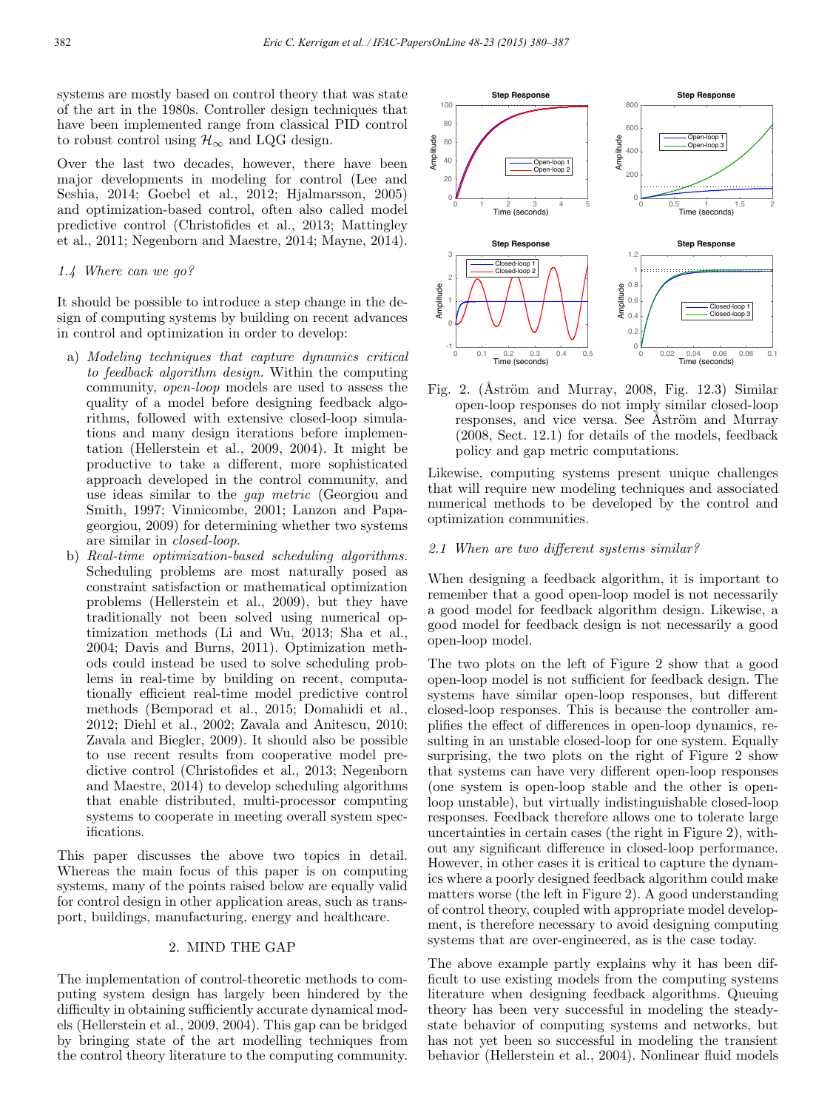systems are mostly based on control theory that was state of the art in the 1980s. Controller design techniques that have been implemented range from classical PID control to robust control using  $\mathcal{H}_{\infty}$  and LQG design.

Over the last two decades, however, there have been major developments in modeling for control (Lee and Seshia, 2014; Goebel et al., 2012; Hjalmarsson, 2005) and optimization-based control, often also called model predictive control (Christofides et al., 2013; Mattingley et al., 2011; Negenborn and Maestre, 2014; Mayne, 2014).

# 1.4 Where can we go?

It should be possible to introduce a step change in the design of computing systems by building on recent advances in control and optimization in order to develop:

- a) Modeling techniques that capture dynamics critical to feedback algorithm design. Within the computing community, open-loop models are used to assess the quality of a model before designing feedback algorithms, followed with extensive closed-loop simulations and many design iterations before implementation (Hellerstein et al., 2009, 2004). It might be productive to take a different, more sophisticated approach developed in the control community, and use ideas similar to the gap metric (Georgiou and Smith, 1997; Vinnicombe, 2001; Lanzon and Papageorgiou, 2009) for determining whether two systems are similar in closed-loop.
- b) Real-time optimization-based scheduling algorithms. Scheduling problems are most naturally posed as constraint satisfaction or mathematical optimization problems (Hellerstein et al., 2009), but they have traditionally not been solved using numerical optimization methods (Li and Wu, 2013; Sha et al., 2004; Davis and Burns, 2011). Optimization methods could instead be used to solve scheduling problems in real-time by building on recent, computationally efficient real-time model predictive control methods (Bemporad et al., 2015; Domahidi et al., 2012; Diehl et al., 2002; Zavala and Anitescu, 2010; Zavala and Biegler, 2009). It should also be possible to use recent results from cooperative model predictive control (Christofides et al., 2013; Negenborn and Maestre, 2014) to develop scheduling algorithms that enable distributed, multi-processor computing systems to cooperate in meeting overall system specifications.

This paper discusses the above two topics in detail. Whereas the main focus of this paper is on computing systems, many of the points raised below are equally valid for control design in other application areas, such as transport, buildings, manufacturing, energy and healthcare.

### 2. MIND THE GAP

The implementation of control-theoretic methods to computing system design has largely been hindered by the difficulty in obtaining sufficiently accurate dynamical models (Hellerstein et al., 2009, 2004). This gap can be bridged by bringing state of the art modelling techniques from the control theory literature to the computing community.



Fig. 2. ( $\text{Aström}$  and Murray, 2008, Fig. 12.3) Similar open-loop responses do not imply similar closed-loop responses, and vice versa. See Åström and Murray (2008, Sect. 12.1) for details of the models, feedback policy and gap metric computations.

Likewise, computing systems present unique challenges that will require new modeling techniques and associated numerical methods to be developed by the control and optimization communities.

## 2.1 When are two different systems similar?

When designing a feedback algorithm, it is important to remember that a good open-loop model is not necessarily a good model for feedback algorithm design. Likewise, a good model for feedback design is not necessarily a good open-loop model.

The two plots on the left of Figure 2 show that a good open-loop model is not sufficient for feedback design. The systems have similar open-loop responses, but different closed-loop responses. This is because the controller amplifies the effect of differences in open-loop dynamics, resulting in an unstable closed-loop for one system. Equally surprising, the two plots on the right of Figure 2 show that systems can have very different open-loop responses (one system is open-loop stable and the other is openloop unstable), but virtually indistinguishable closed-loop responses. Feedback therefore allows one to tolerate large uncertainties in certain cases (the right in Figure 2), without any significant difference in closed-loop performance. However, in other cases it is critical to capture the dynamics where a poorly designed feedback algorithm could make matters worse (the left in Figure 2). A good understanding of control theory, coupled with appropriate model development, is therefore necessary to avoid designing computing systems that are over-engineered, as is the case today.

The above example partly explains why it has been difficult to use existing models from the computing systems literature when designing feedback algorithms. Queuing theory has been very successful in modeling the steadystate behavior of computing systems and networks, but has not yet been so successful in modeling the transient behavior (Hellerstein et al., 2004). Nonlinear fluid models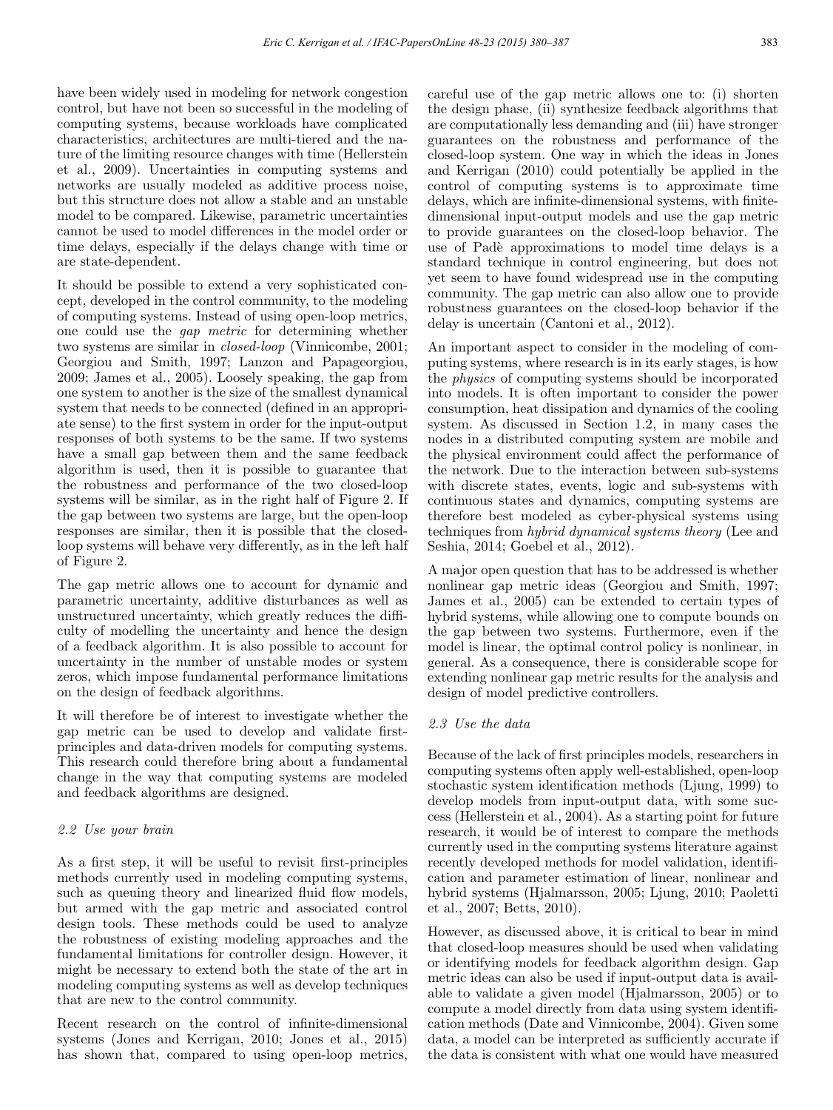have been widely used in modeling for network congestion control, but have not been so successful in the modeling of computing systems, because workloads have complicated characteristics, architectures are multi-tiered and the nature of the limiting resource changes with time (Hellerstein et al., 2009). Uncertainties in computing systems and networks are usually modeled as additive process noise, but this structure does not allow a stable and an unstable model to be compared. Likewise, parametric uncertainties cannot be used to model differences in the model order or time delays, especially if the delays change with time or are state-dependent.

It should be possible to extend a very sophisticated concept, developed in the control community, to the modeling of computing systems. Instead of using open-loop metrics, one could use the gap metric for determining whether two systems are similar in closed-loop (Vinnicombe, 2001; Georgiou and Smith, 1997; Lanzon and Papageorgiou, 2009; James et al., 2005). Loosely speaking, the gap from one system to another is the size of the smallest dynamical system that needs to be connected (defined in an appropriate sense) to the first system in order for the input-output responses of both systems to be the same. If two systems have a small gap between them and the same feedback algorithm is used, then it is possible to guarantee that the robustness and performance of the two closed-loop systems will be similar, as in the right half of Figure 2. If the gap between two systems are large, but the open-loop responses are similar, then it is possible that the closedloop systems will behave very differently, as in the left half of Figure 2.

The gap metric allows one to account for dynamic and parametric uncertainty, additive disturbances as well as unstructured uncertainty, which greatly reduces the difficulty of modelling the uncertainty and hence the design of a feedback algorithm. It is also possible to account for uncertainty in the number of unstable modes or system zeros, which impose fundamental performance limitations on the design of feedback algorithms.

It will therefore be of interest to investigate whether the gap metric can be used to develop and validate firstprinciples and data-driven models for computing systems. This research could therefore bring about a fundamental change in the way that computing systems are modeled and feedback algorithms are designed.

# 2.2 Use your brain

As a first step, it will be useful to revisit first-principles methods currently used in modeling computing systems, such as queuing theory and linearized fluid flow models, but armed with the gap metric and associated control design tools. These methods could be used to analyze the robustness of existing modeling approaches and the fundamental limitations for controller design. However, it might be necessary to extend both the state of the art in modeling computing systems as well as develop techniques that are new to the control community.

Recent research on the control of infinite-dimensional systems (Jones and Kerrigan, 2010; Jones et al., 2015) has shown that, compared to using open-loop metrics, careful use of the gap metric allows one to: (i) shorten the design phase, (ii) synthesize feedback algorithms that are computationally less demanding and (iii) have stronger guarantees on the robustness and performance of the closed-loop system. One way in which the ideas in Jones and Kerrigan (2010) could potentially be applied in the control of computing systems is to approximate time delays, which are infinite-dimensional systems, with finitedimensional input-output models and use the gap metric to provide guarantees on the closed-loop behavior. The use of Padè approximations to model time delays is a standard technique in control engineering, but does not yet seem to have found widespread use in the computing community. The gap metric can also allow one to provide robustness guarantees on the closed-loop behavior if the delay is uncertain (Cantoni et al., 2012).

An important aspect to consider in the modeling of computing systems, where research is in its early stages, is how the physics of computing systems should be incorporated into models. It is often important to consider the power consumption, heat dissipation and dynamics of the cooling system. As discussed in Section 1.2, in many cases the nodes in a distributed computing system are mobile and the physical environment could affect the performance of the network. Due to the interaction between sub-systems with discrete states, events, logic and sub-systems with continuous states and dynamics, computing systems are therefore best modeled as cyber-physical systems using techniques from hybrid dynamical systems theory (Lee and Seshia, 2014; Goebel et al., 2012).

A major open question that has to be addressed is whether nonlinear gap metric ideas (Georgiou and Smith, 1997; James et al., 2005) can be extended to certain types of hybrid systems, while allowing one to compute bounds on the gap between two systems. Furthermore, even if the model is linear, the optimal control policy is nonlinear, in general. As a consequence, there is considerable scope for extending nonlinear gap metric results for the analysis and design of model predictive controllers.

## 2.3 Use the data

Because of the lack of first principles models, researchers in computing systems often apply well-established, open-loop stochastic system identification methods (Ljung, 1999) to develop models from input-output data, with some success (Hellerstein et al., 2004). As a starting point for future research, it would be of interest to compare the methods currently used in the computing systems literature against recently developed methods for model validation, identification and parameter estimation of linear, nonlinear and hybrid systems (Hjalmarsson, 2005; Ljung, 2010; Paoletti et al., 2007; Betts, 2010).

However, as discussed above, it is critical to bear in mind that closed-loop measures should be used when validating or identifying models for feedback algorithm design. Gap metric ideas can also be used if input-output data is available to validate a given model (Hjalmarsson, 2005) or to compute a model directly from data using system identification methods (Date and Vinnicombe, 2004). Given some data, a model can be interpreted as sufficiently accurate if the data is consistent with what one would have measured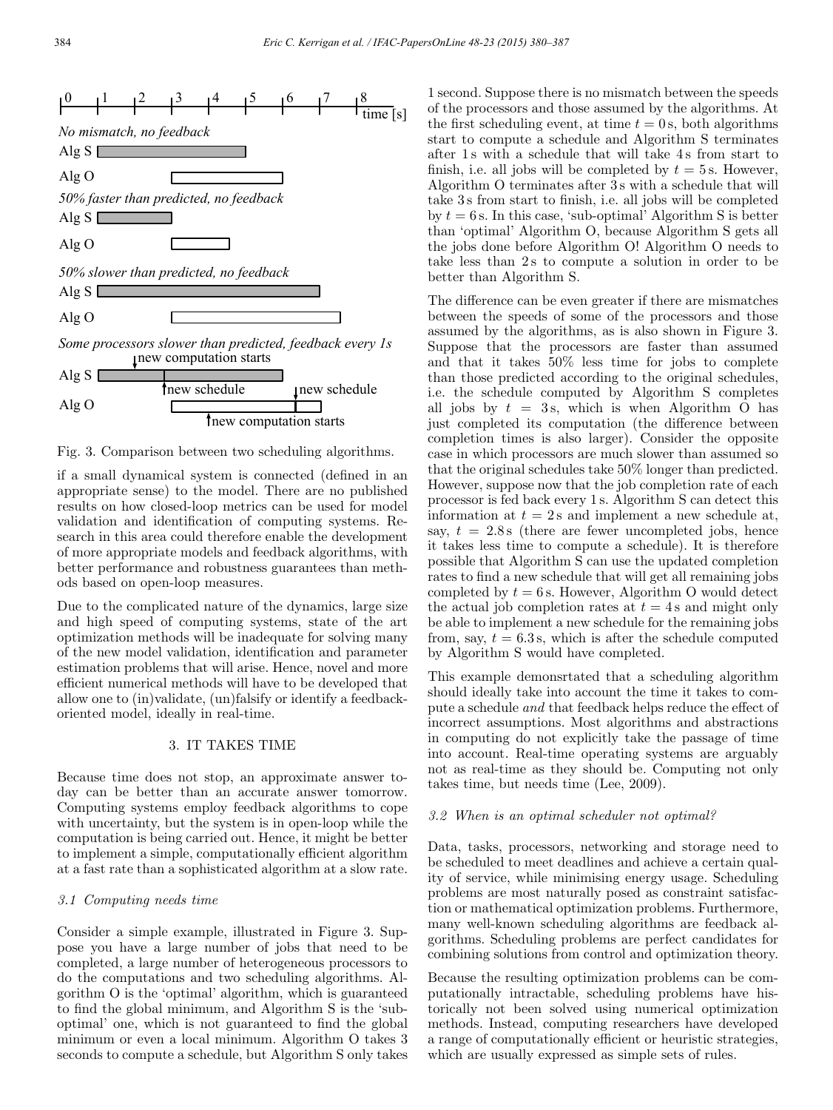





if a small dynamical system is connected (defined in an appropriate sense) to the model. There are no published results on how closed-loop metrics can be used for model validation and identification of computing systems. Research in this area could therefore enable the development of more appropriate models and feedback algorithms, with better performance and robustness guarantees than methods based on open-loop measures.

Due to the complicated nature of the dynamics, large size and high speed of computing systems, state of the art optimization methods will be inadequate for solving many of the new model validation, identification and parameter estimation problems that will arise. Hence, novel and more efficient numerical methods will have to be developed that allow one to (in)validate, (un)falsify or identify a feedbackoriented model, ideally in real-time.

## 3. IT TAKES TIME

Because time does not stop, an approximate answer today can be better than an accurate answer tomorrow. Computing systems employ feedback algorithms to cope with uncertainty, but the system is in open-loop while the computation is being carried out. Hence, it might be better to implement a simple, computationally efficient algorithm at a fast rate than a sophisticated algorithm at a slow rate.

# 3.1 Computing needs time

Consider a simple example, illustrated in Figure 3. Suppose you have a large number of jobs that need to be completed, a large number of heterogeneous processors to do the computations and two scheduling algorithms. Algorithm O is the 'optimal' algorithm, which is guaranteed to find the global minimum, and Algorithm S is the 'suboptimal' one, which is not guaranteed to find the global minimum or even a local minimum. Algorithm O takes 3 seconds to compute a schedule, but Algorithm S only takes

1 second. Suppose there is no mismatch between the speeds of the processors and those assumed by the algorithms. At the first scheduling event, at time  $t = 0$  s, both algorithms start to compute a schedule and Algorithm S terminates after 1 s with a schedule that will take 4 s from start to finish, i.e. all jobs will be completed by  $t = 5$  s. However, Algorithm O terminates after 3 s with a schedule that will take 3 s from start to finish, i.e. all jobs will be completed by  $t = 6$  s. In this case, 'sub-optimal' Algorithm S is better than 'optimal' Algorithm O, because Algorithm S gets all the jobs done before Algorithm O! Algorithm O needs to take less than 2s to compute a solution in order to be better than Algorithm S.

The difference can be even greater if there are mismatches between the speeds of some of the processors and those assumed by the algorithms, as is also shown in Figure 3. Suppose that the processors are faster than assumed and that it takes 50% less time for jobs to complete than those predicted according to the original schedules, i.e. the schedule computed by Algorithm S completes all jobs by  $t = 3$  s, which is when Algorithm O has just completed its computation (the difference between completion times is also larger). Consider the opposite case in which processors are much slower than assumed so that the original schedules take 50% longer than predicted. However, suppose now that the job completion rate of each processor is fed back every 1 s. Algorithm S can detect this information at  $t = 2$  s and implement a new schedule at, say,  $t = 2.8$  s (there are fewer uncompleted jobs, hence it takes less time to compute a schedule). It is therefore possible that Algorithm S can use the updated completion rates to find a new schedule that will get all remaining jobs completed by  $t = 6$  s. However, Algorithm O would detect the actual job completion rates at  $t = 4$  s and might only be able to implement a new schedule for the remaining jobs from, say,  $t = 6.3$  s, which is after the schedule computed by Algorithm S would have completed.

This example demonsrtated that a scheduling algorithm should ideally take into account the time it takes to compute a schedule and that feedback helps reduce the effect of incorrect assumptions. Most algorithms and abstractions in computing do not explicitly take the passage of time into account. Real-time operating systems are arguably not as real-time as they should be. Computing not only takes time, but needs time (Lee, 2009).

#### 3.2 When is an optimal scheduler not optimal?

Data, tasks, processors, networking and storage need to be scheduled to meet deadlines and achieve a certain quality of service, while minimising energy usage. Scheduling problems are most naturally posed as constraint satisfaction or mathematical optimization problems. Furthermore, many well-known scheduling algorithms are feedback algorithms. Scheduling problems are perfect candidates for combining solutions from control and optimization theory.

Because the resulting optimization problems can be computationally intractable, scheduling problems have historically not been solved using numerical optimization methods. Instead, computing researchers have developed a range of computationally efficient or heuristic strategies, which are usually expressed as simple sets of rules.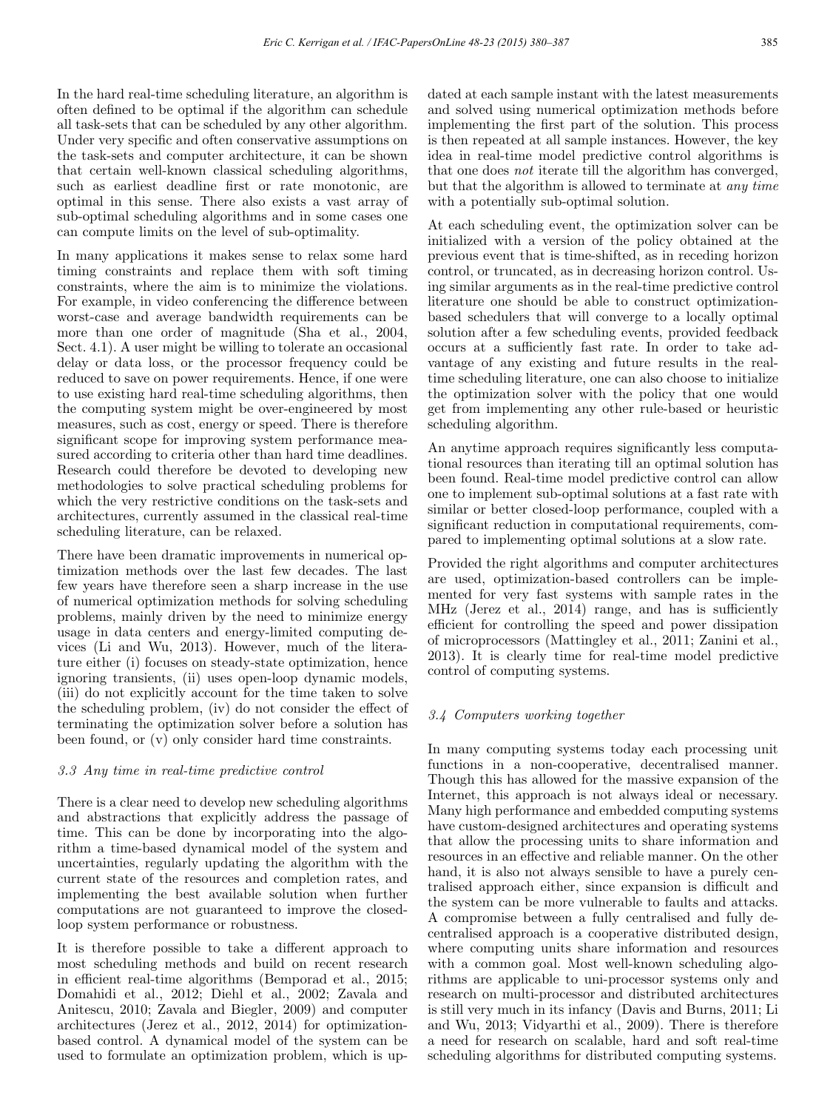In the hard real-time scheduling literature, an algorithm is often defined to be optimal if the algorithm can schedule all task-sets that can be scheduled by any other algorithm. Under very specific and often conservative assumptions on the task-sets and computer architecture, it can be shown that certain well-known classical scheduling algorithms, such as earliest deadline first or rate monotonic, are optimal in this sense. There also exists a vast array of sub-optimal scheduling algorithms and in some cases one can compute limits on the level of sub-optimality.

In many applications it makes sense to relax some hard timing constraints and replace them with soft timing constraints, where the aim is to minimize the violations. For example, in video conferencing the difference between worst-case and average bandwidth requirements can be more than one order of magnitude (Sha et al., 2004, Sect. 4.1). A user might be willing to tolerate an occasional delay or data loss, or the processor frequency could be reduced to save on power requirements. Hence, if one were to use existing hard real-time scheduling algorithms, then the computing system might be over-engineered by most measures, such as cost, energy or speed. There is therefore significant scope for improving system performance measured according to criteria other than hard time deadlines. Research could therefore be devoted to developing new methodologies to solve practical scheduling problems for which the very restrictive conditions on the task-sets and architectures, currently assumed in the classical real-time scheduling literature, can be relaxed.

There have been dramatic improvements in numerical optimization methods over the last few decades. The last few years have therefore seen a sharp increase in the use of numerical optimization methods for solving scheduling problems, mainly driven by the need to minimize energy usage in data centers and energy-limited computing devices (Li and Wu, 2013). However, much of the literature either (i) focuses on steady-state optimization, hence ignoring transients, (ii) uses open-loop dynamic models, (iii) do not explicitly account for the time taken to solve the scheduling problem, (iv) do not consider the effect of terminating the optimization solver before a solution has been found, or (v) only consider hard time constraints.

## 3.3 Any time in real-time predictive control

There is a clear need to develop new scheduling algorithms and abstractions that explicitly address the passage of time. This can be done by incorporating into the algorithm a time-based dynamical model of the system and uncertainties, regularly updating the algorithm with the current state of the resources and completion rates, and implementing the best available solution when further computations are not guaranteed to improve the closedloop system performance or robustness.

It is therefore possible to take a different approach to most scheduling methods and build on recent research in efficient real-time algorithms (Bemporad et al., 2015; Domahidi et al., 2012; Diehl et al., 2002; Zavala and Anitescu, 2010; Zavala and Biegler, 2009) and computer architectures (Jerez et al., 2012, 2014) for optimizationbased control. A dynamical model of the system can be used to formulate an optimization problem, which is updated at each sample instant with the latest measurements and solved using numerical optimization methods before implementing the first part of the solution. This process is then repeated at all sample instances. However, the key idea in real-time model predictive control algorithms is that one does not iterate till the algorithm has converged, but that the algorithm is allowed to terminate at any time with a potentially sub-optimal solution.

At each scheduling event, the optimization solver can be initialized with a version of the policy obtained at the previous event that is time-shifted, as in receding horizon control, or truncated, as in decreasing horizon control. Using similar arguments as in the real-time predictive control literature one should be able to construct optimizationbased schedulers that will converge to a locally optimal solution after a few scheduling events, provided feedback occurs at a sufficiently fast rate. In order to take advantage of any existing and future results in the realtime scheduling literature, one can also choose to initialize the optimization solver with the policy that one would get from implementing any other rule-based or heuristic scheduling algorithm.

An anytime approach requires significantly less computational resources than iterating till an optimal solution has been found. Real-time model predictive control can allow one to implement sub-optimal solutions at a fast rate with similar or better closed-loop performance, coupled with a significant reduction in computational requirements, compared to implementing optimal solutions at a slow rate.

Provided the right algorithms and computer architectures are used, optimization-based controllers can be implemented for very fast systems with sample rates in the MHz (Jerez et al., 2014) range, and has is sufficiently efficient for controlling the speed and power dissipation of microprocessors (Mattingley et al., 2011; Zanini et al., 2013). It is clearly time for real-time model predictive control of computing systems.

# 3.4 Computers working together

In many computing systems today each processing unit functions in a non-cooperative, decentralised manner. Though this has allowed for the massive expansion of the Internet, this approach is not always ideal or necessary. Many high performance and embedded computing systems have custom-designed architectures and operating systems that allow the processing units to share information and resources in an effective and reliable manner. On the other hand, it is also not always sensible to have a purely centralised approach either, since expansion is difficult and the system can be more vulnerable to faults and attacks. A compromise between a fully centralised and fully decentralised approach is a cooperative distributed design, where computing units share information and resources with a common goal. Most well-known scheduling algorithms are applicable to uni-processor systems only and research on multi-processor and distributed architectures is still very much in its infancy (Davis and Burns, 2011; Li and Wu, 2013; Vidyarthi et al., 2009). There is therefore a need for research on scalable, hard and soft real-time scheduling algorithms for distributed computing systems.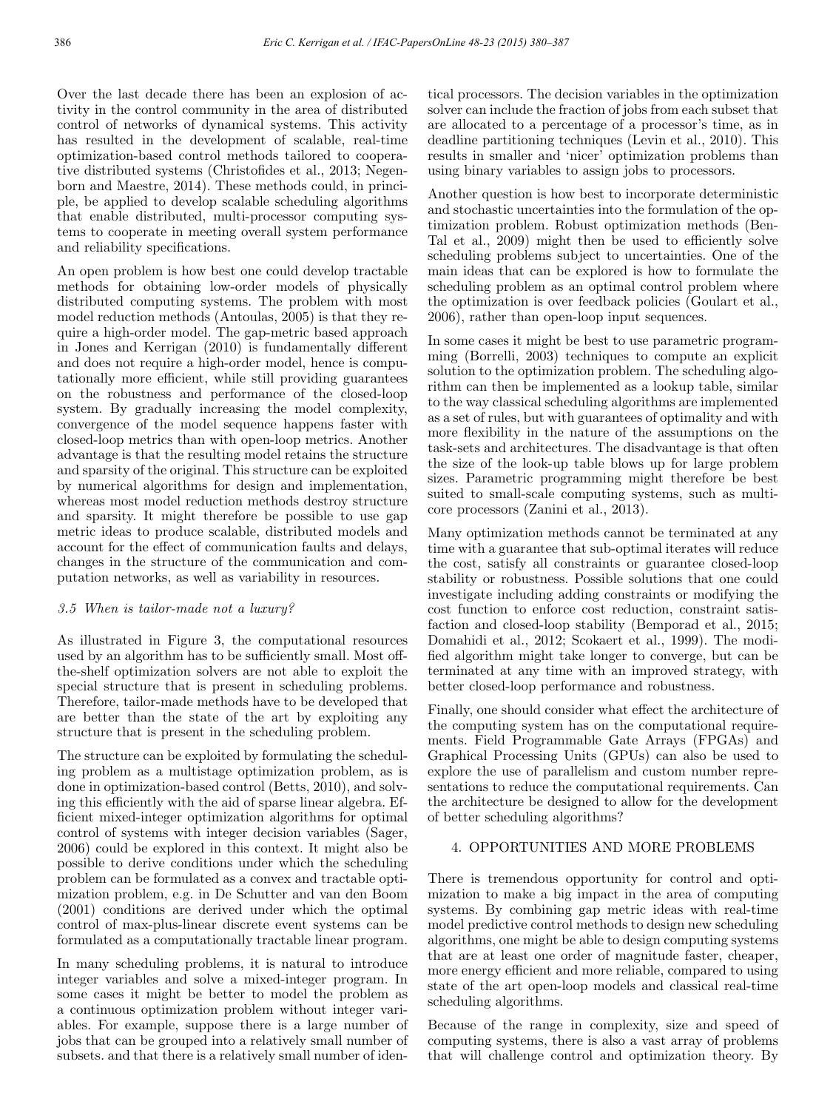Over the last decade there has been an explosion of activity in the control community in the area of distributed control of networks of dynamical systems. This activity has resulted in the development of scalable, real-time optimization-based control methods tailored to cooperative distributed systems (Christofides et al., 2013; Negenborn and Maestre, 2014). These methods could, in principle, be applied to develop scalable scheduling algorithms that enable distributed, multi-processor computing systems to cooperate in meeting overall system performance and reliability specifications.

An open problem is how best one could develop tractable methods for obtaining low-order models of physically distributed computing systems. The problem with most model reduction methods (Antoulas, 2005) is that they require a high-order model. The gap-metric based approach in Jones and Kerrigan (2010) is fundamentally different and does not require a high-order model, hence is computationally more efficient, while still providing guarantees on the robustness and performance of the closed-loop system. By gradually increasing the model complexity, convergence of the model sequence happens faster with closed-loop metrics than with open-loop metrics. Another advantage is that the resulting model retains the structure and sparsity of the original. This structure can be exploited by numerical algorithms for design and implementation, whereas most model reduction methods destroy structure and sparsity. It might therefore be possible to use gap metric ideas to produce scalable, distributed models and account for the effect of communication faults and delays, changes in the structure of the communication and computation networks, as well as variability in resources.

#### 3.5 When is tailor-made not a luxury?

As illustrated in Figure 3, the computational resources used by an algorithm has to be sufficiently small. Most offthe-shelf optimization solvers are not able to exploit the special structure that is present in scheduling problems. Therefore, tailor-made methods have to be developed that are better than the state of the art by exploiting any structure that is present in the scheduling problem.

The structure can be exploited by formulating the scheduling problem as a multistage optimization problem, as is done in optimization-based control (Betts, 2010), and solving this efficiently with the aid of sparse linear algebra. Efficient mixed-integer optimization algorithms for optimal control of systems with integer decision variables (Sager, 2006) could be explored in this context. It might also be possible to derive conditions under which the scheduling problem can be formulated as a convex and tractable optimization problem, e.g. in De Schutter and van den Boom (2001) conditions are derived under which the optimal control of max-plus-linear discrete event systems can be formulated as a computationally tractable linear program.

In many scheduling problems, it is natural to introduce integer variables and solve a mixed-integer program. In some cases it might be better to model the problem as a continuous optimization problem without integer variables. For example, suppose there is a large number of jobs that can be grouped into a relatively small number of subsets. and that there is a relatively small number of identical processors. The decision variables in the optimization solver can include the fraction of jobs from each subset that are allocated to a percentage of a processor's time, as in deadline partitioning techniques (Levin et al., 2010). This results in smaller and 'nicer' optimization problems than using binary variables to assign jobs to processors.

Another question is how best to incorporate deterministic and stochastic uncertainties into the formulation of the optimization problem. Robust optimization methods (Ben-Tal et al., 2009) might then be used to efficiently solve scheduling problems subject to uncertainties. One of the main ideas that can be explored is how to formulate the scheduling problem as an optimal control problem where the optimization is over feedback policies (Goulart et al., 2006), rather than open-loop input sequences.

In some cases it might be best to use parametric programming (Borrelli, 2003) techniques to compute an explicit solution to the optimization problem. The scheduling algorithm can then be implemented as a lookup table, similar to the way classical scheduling algorithms are implemented as a set of rules, but with guarantees of optimality and with more flexibility in the nature of the assumptions on the task-sets and architectures. The disadvantage is that often the size of the look-up table blows up for large problem sizes. Parametric programming might therefore be best suited to small-scale computing systems, such as multicore processors (Zanini et al., 2013).

Many optimization methods cannot be terminated at any time with a guarantee that sub-optimal iterates will reduce the cost, satisfy all constraints or guarantee closed-loop stability or robustness. Possible solutions that one could investigate including adding constraints or modifying the cost function to enforce cost reduction, constraint satisfaction and closed-loop stability (Bemporad et al., 2015; Domahidi et al., 2012; Scokaert et al., 1999). The modified algorithm might take longer to converge, but can be terminated at any time with an improved strategy, with better closed-loop performance and robustness.

Finally, one should consider what effect the architecture of the computing system has on the computational requirements. Field Programmable Gate Arrays (FPGAs) and Graphical Processing Units (GPUs) can also be used to explore the use of parallelism and custom number representations to reduce the computational requirements. Can the architecture be designed to allow for the development of better scheduling algorithms?

# 4. OPPORTUNITIES AND MORE PROBLEMS

There is tremendous opportunity for control and optimization to make a big impact in the area of computing systems. By combining gap metric ideas with real-time model predictive control methods to design new scheduling algorithms, one might be able to design computing systems that are at least one order of magnitude faster, cheaper, more energy efficient and more reliable, compared to using state of the art open-loop models and classical real-time scheduling algorithms.

Because of the range in complexity, size and speed of computing systems, there is also a vast array of problems that will challenge control and optimization theory. By